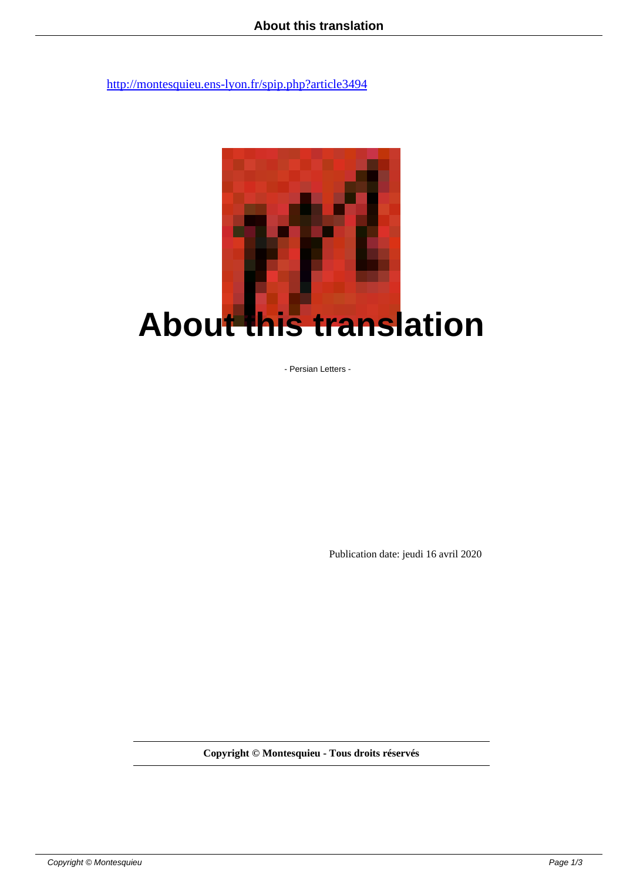

- Persian Letters -

Publication date: jeudi 16 avril 2020

**Copyright © Montesquieu - Tous droits réservés**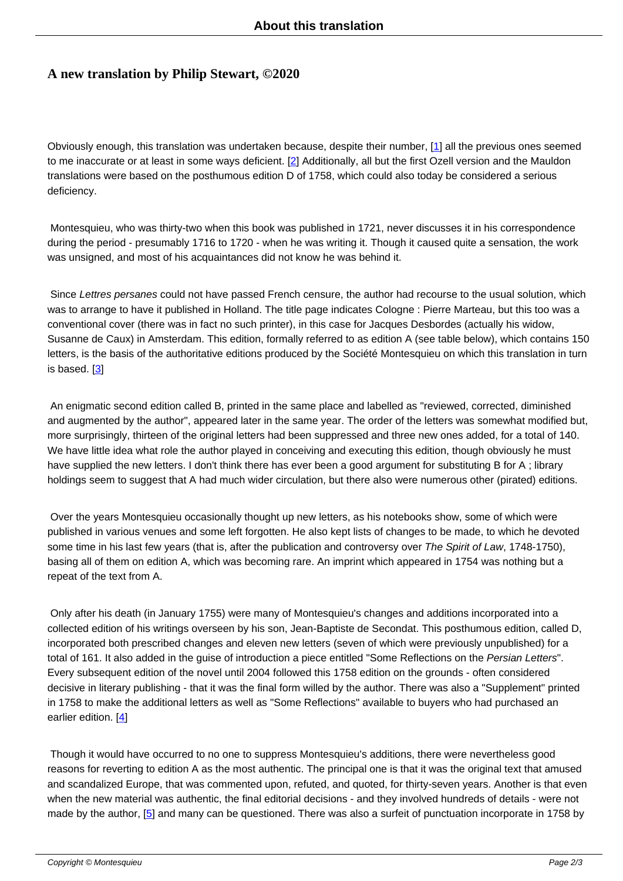## **A new translation by Philip Stewart, ©2020**

Obviously enough, this translation was undertaken because, despite their number, [1] all the previous ones seemed to me inaccurate or at least in some ways deficient. [2] Additionally, all but the first Ozell version and the Mauldon translations were based on the posthumous edition D of 1758, which could also today be considered a serious deficiency.

 Montesquieu, who was thirty-two when this book was published in 1721, never discusses it in his correspondence during the period - presumably 1716 to 1720 - when he was writing it. Though it caused quite a sensation, the work was unsigned, and most of his acquaintances did not know he was behind it.

Since Lettres persanes could not have passed French censure, the author had recourse to the usual solution, which was to arrange to have it published in Holland. The title page indicates Cologne : Pierre Marteau, but this too was a conventional cover (there was in fact no such printer), in this case for Jacques Desbordes (actually his widow, Susanne de Caux) in Amsterdam. This edition, formally referred to as edition A (see table below), which contains 150 letters, is the basis of the authoritative editions produced by the Société Montesquieu on which this translation in turn is based. [3]

 An enigmatic second edition called B, printed in the same place and labelled as "reviewed, corrected, diminished and augm[en](#nb3)ted by the author", appeared later in the same year. The order of the letters was somewhat modified but, more surprisingly, thirteen of the original letters had been suppressed and three new ones added, for a total of 140. We have little idea what role the author played in conceiving and executing this edition, though obviously he must have supplied the new letters. I don't think there has ever been a good argument for substituting B for A ; library holdings seem to suggest that A had much wider circulation, but there also were numerous other (pirated) editions.

 Over the years Montesquieu occasionally thought up new letters, as his notebooks show, some of which were published in various venues and some left forgotten. He also kept lists of changes to be made, to which he devoted some time in his last few years (that is, after the publication and controversy over The Spirit of Law, 1748-1750), basing all of them on edition A, which was becoming rare. An imprint which appeared in 1754 was nothing but a repeat of the text from A.

 Only after his death (in January 1755) were many of Montesquieu's changes and additions incorporated into a collected edition of his writings overseen by his son, Jean-Baptiste de Secondat. This posthumous edition, called D, incorporated both prescribed changes and eleven new letters (seven of which were previously unpublished) for a total of 161. It also added in the guise of introduction a piece entitled "Some Reflections on the Persian Letters". Every subsequent edition of the novel until 2004 followed this 1758 edition on the grounds - often considered decisive in literary publishing - that it was the final form willed by the author. There was also a "Supplement" printed in 1758 to make the additional letters as well as "Some Reflections" available to buyers who had purchased an earlier edition. [4]

 Though it would have occurred to no one to suppress Montesquieu's additions, there were nevertheless good reasons for rev[er](#nb4)ting to edition A as the most authentic. The principal one is that it was the original text that amused and scandalized Europe, that was commented upon, refuted, and quoted, for thirty-seven years. Another is that even when the new material was authentic, the final editorial decisions - and they involved hundreds of details - were not made by the author, [5] and many can be questioned. There was also a surfeit of punctuation incorporate in 1758 by